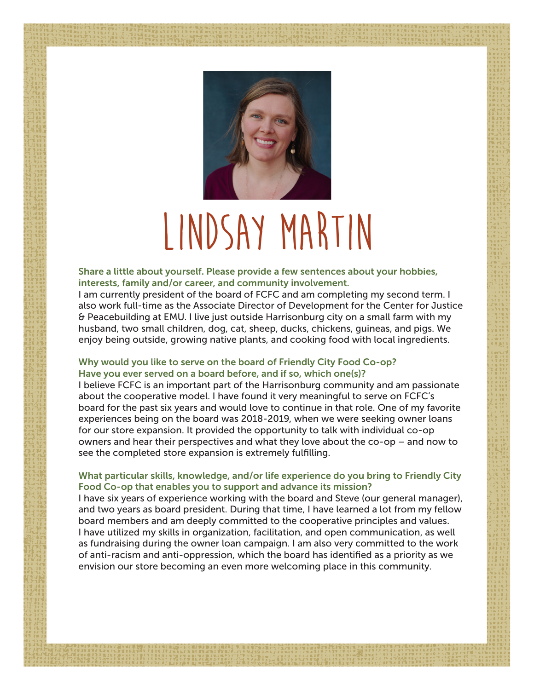

# **lindsay martin**

Share a little about yourself. Please provide a few sentences about your hobbies, interests, family and/or career, and community involvement.

I am currently president of the board of FCFC and am completing my second term. I also work full-time as the Associate Director of Development for the Center for Justice & Peacebuilding at EMU. I live just outside Harrisonburg city on a small farm with my husband, two small children, dog, cat, sheep, ducks, chickens, guineas, and pigs. We enjoy being outside, growing native plants, and cooking food with local ingredients.

## Why would you like to serve on the board of Friendly City Food Co-op? Have you ever served on a board before, and if so, which one(s)?

I believe FCFC is an important part of the Harrisonburg community and am passionate about the cooperative model. I have found it very meaningful to serve on FCFC's board for the past six years and would love to continue in that role. One of my favorite experiences being on the board was 2018-2019, when we were seeking owner loans for our store expansion. It provided the opportunity to talk with individual co-op owners and hear their perspectives and what they love about the co-op – and now to see the completed store expansion is extremely fulfilling.

### What particular skills, knowledge, and/or life experience do you bring to Friendly City Food Co-op that enables you to support and advance its mission?

I have six years of experience working with the board and Steve (our general manager), and two years as board president. During that time, I have learned a lot from my fellow board members and am deeply committed to the cooperative principles and values. I have utilized my skills in organization, facilitation, and open communication, as well as fundraising during the owner loan campaign. I am also very committed to the work of anti-racism and anti-oppression, which the board has identified as a priority as we envision our store becoming an even more welcoming place in this community.